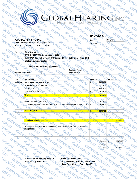# ki,nobraki,nobra

**Invoice** 

**Invoice #:**

**Date: 11/9/18**

### **GLOBAL HEARING INC**

**1900 UNIVERSITY AVENUE, SUITE 101 EAST PALO ALTO, CA 94303**

# **Tki.ru**bi **Amir Nizamov For:**

aki.ru

Actor del

dobraki,ru

 **Left CAM December 4, 2018(CT in June 2018)- Right CAM- June 2018 Otology Surgery Center DATE OF SERVICE: December 4, 2018**

### **The club of kind persons**

| The club of kind persons                                                                                                                                   |                                   |
|------------------------------------------------------------------------------------------------------------------------------------------------------------|-----------------------------------|
| <b>HRI.ru</b><br><b>ATTACKI</b><br>$\alpha_{\Delta_{\overline{O}}}$<br><b>Payment Terms</b>                                                                |                                   |
| <b>JODIYOK</b><br>approved the<br><b>Voltin</b><br><b>HOG</b><br><b>Upon Receipt</b><br>Surgery payments<br><b>OKTITU</b><br>Vaki, rune Total Ci           |                                   |
| $\frac{1}{\sqrt{2}}$<br>ON<br>Æ<br>$\rm \circ_{\rm O}$                                                                                                     |                                   |
| dobraking<br>Unit Price<br><b>Description</b><br>dobry aki.ru<br>roki.ru                                                                                   | $\mathcal{A}_{\mathcal{O}_{\xi}}$ |
| $\overline{\mathcal{A}}_{\mathcal{O}_{\tilde{\mathcal{O}}}}$<br>Left CAM<br>יע<br>28,500.00<br><b>DR. ROBERSON'S SURGEON FEE</b>                           |                                   |
| $z_{r_{{\cal O}}}$<br>31,500.00<br>\$<br><b>Dr. REINISCH'S SURGEON FEE</b>                                                                                 |                                   |
| <b>FACILITY FEE</b><br>20,800.00<br>sО                                                                                                                     |                                   |
| dobn <sub>iq</sub><br>$\overline{6}$<br><b>ANETHESIOLOGIST</b><br>4,200.00<br>\$.                                                                          |                                   |
| oki.ru<br><b>TOTAL</b><br>′੦<br>85,000.00<br>s'-n                                                                                                          | $\mathcal{A}_{\mathcal{O}_4}$     |
|                                                                                                                                                            |                                   |
| $\%$ 6<br>deposit received 2/23/2017<br>5,000.00                                                                                                           |                                   |
| <b>Ki.ru</b><br>$\frac{d}{d\phi}$<br>payment received 11/7/ 2018 By Order Of: 1/NIZAMOV MARAT KAMILEVICH<br>dobbyc<br>29,719.00<br>O.                      | aki.ru                            |
| $\star_{\alpha}$                                                                                                                                           |                                   |
| aki.ru<br>34,719.00<br><b>TOTAL RECEIVED:</b><br>SIL<br>$\overline{\mathsf{b}}$                                                                            |                                   |
| okinu                                                                                                                                                      |                                   |
| <b>POL</b>                                                                                                                                                 |                                   |
| $\%6$<br>50,281.00<br><b>Remaining balance due:</b><br>vaki.ru                                                                                             | oki <sub>n</sub>                  |
|                                                                                                                                                            |                                   |
| aktri<br>doby<br>Probable left ear CAM surgery depending results of the new CT scan at pre-op<br>iki.p<br>dop'<br><b>o<sub>kinu</sub></b><br>for right ear |                                   |
|                                                                                                                                                            |                                   |
| <b>AODTY OKI</b>                                                                                                                                           |                                   |
| $\overline{v}_U$<br>布<br>$\cdot r$ ,<br>aking                                                                                                              |                                   |
| Subtotal S<br>50,281.00                                                                                                                                    |                                   |
| <b>ARI.ru</b><br>aki.ru<br>Sales Tax                                                                                                                       |                                   |
| Jobnyaki.ru<br>'aki <sub>nu</sub><br>50,281.00<br>Total <sup>S</sup>                                                                                       | $\frac{1}{2}Q^{\zeta}$            |
| dobraki.ru<br>dobraki.ru<br>dobraki.ru<br>dobryaki.ru<br>dobryaki.ru<br>dobnaki.ru<br>doby<br><sup>Iki,</sup> ru<br><b>Ibryoki.ru</b><br>$\phi$            |                                   |
| $\epsilon_{r_{U}}$<br>$\alpha$                                                                                                                             |                                   |
| $\alpha_{06}$                                                                                                                                              |                                   |
| dobraki.ru<br><b>Tobryaki.ru</b><br>dobno<br><b>GLOBAL HEARING, INC.</b><br><b>Make All Checks Payable To:</b><br>1900 University Avenue,                  |                                   |
| Suite 101B<br>Mail All Payments To://<br>East Palo Alto<br>94303<br>⊮CA                                                                                    |                                   |
| dobrycki.ru<br>dobrycki.ru<br>dobryaki.ru<br>moki.ru<br>dobryaki.ru<br>Jobryaki.ru<br>dobryaki.ru<br>dobn <sub>aki.nu</sub>                                |                                   |
| <sup>Iki,</sup> ru<br>dobryakin,<br>raki.ru<br>dobrakin<br><b>Voltin</b>                                                                                   |                                   |
| dobraci<br><b>oki</b> nu<br>dobrunes<br>dobrunes<br>dobnu<br>dobr                                                                                          |                                   |
| $\alpha_{0,0}$<br>$\alpha_{0k}$                                                                                                                            |                                   |
| $\gamma_{\Omega}$<br>∝                                                                                                                                     |                                   |